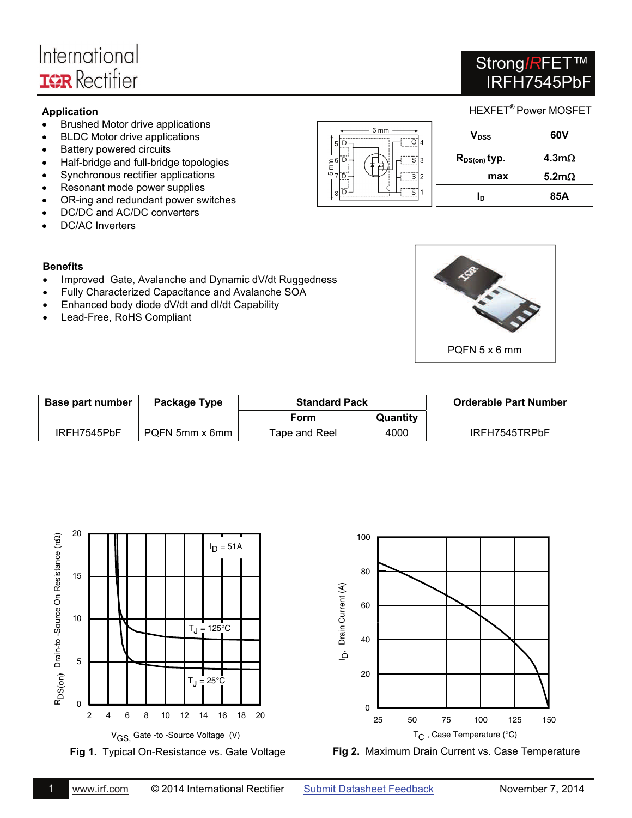# International **IOR** Rectifier

## Strong*IR*FET™ IRFH7545PbF

- Brushed Motor drive applications
- BLDC Motor drive applications
- Battery powered circuits
- Half-bridge and full-bridge topologies
- Synchronous rectifier applications
- Resonant mode power supplies
- OR-ing and redundant power switches
- DC/DC and AC/DC converters
- DC/AC Inverters

| <b>Application</b>                                                                                 |                                                        |                   | HEXFET <sup>®</sup> Power MOSFET |
|----------------------------------------------------------------------------------------------------|--------------------------------------------------------|-------------------|----------------------------------|
| Brushed Motor drive applications<br>$\bullet$<br><b>BLDC Motor drive applications</b><br>$\bullet$ | 6 mm<br>G 4<br>5 D                                     | $V_{\rm DSS}$     | 60V                              |
| Battery powered circuits<br>$\bullet$<br>Half-bridge and full-bridge topologies<br>$\bullet$       | $E = 6 \rightarrow 7$<br>.                             | $R_{DS(on)}$ typ. | $4.3m\Omega$                     |
| Synchronous rectifier applications<br>$\bullet$                                                    | $\frac{10}{2}$ 7 $\boxed{D}$ –<br>$\sqrt{\frac{1}{s}}$ | max               | 5.2 $m\Omega$                    |
| Resonant mode power supplies<br>$\bullet$<br>OR-ing and redundant nower switches<br>$\bullet$      | - ۱۵۰<br>$\sqrt{\frac{1}{1}}$                          | Ιņ                | 85A                              |

### **Benefits**

- Improved Gate, Avalanche and Dynamic dV/dt Ruggedness
- Fully Characterized Capacitance and Avalanche SOA
- Enhanced body diode dV/dt and dI/dt Capability
- Lead-Free, RoHS Compliant



| Base part number | Package Type   | <b>Standard Pack</b> |          |               |  | <b>Orderable Part Number</b> |
|------------------|----------------|----------------------|----------|---------------|--|------------------------------|
|                  |                | Form                 | Quantity |               |  |                              |
| IRFH7545PbF      | PQFN 5mm x 6mm | Tape and Reel        | 4000     | IRFH7545TRPbF |  |                              |

100





**Fig 2.** Maximum Drain Current vs. Case Temperature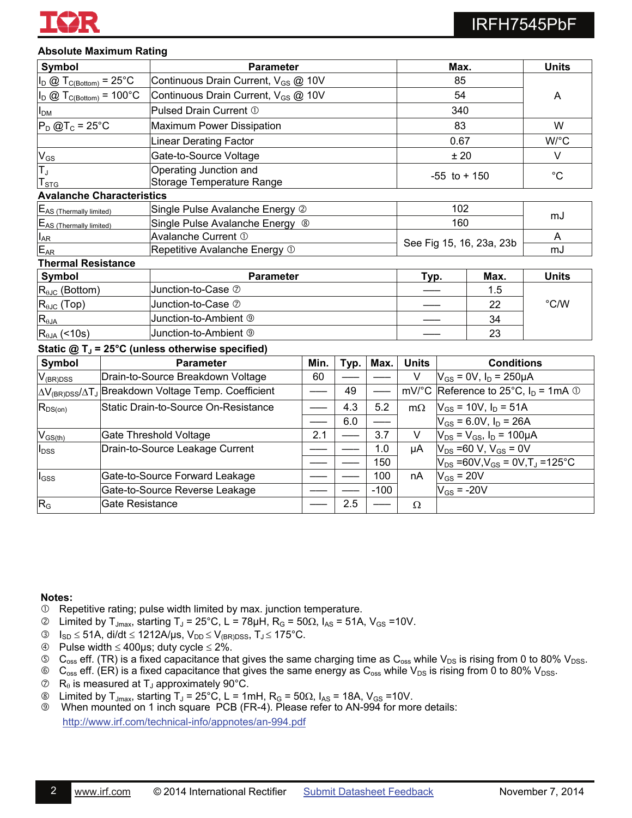

### **Absolute Maximum Rating**

| Symbol                                                     |                                      |                                                                            | <b>Parameter</b> |      |              | Max.                                                  |                                                          |        | <b>Units</b> |
|------------------------------------------------------------|--------------------------------------|----------------------------------------------------------------------------|------------------|------|--------------|-------------------------------------------------------|----------------------------------------------------------|--------|--------------|
| $I_D \otimes T_{C(Bottom)} = 25^{\circ}C$                  |                                      | Continuous Drain Current, V <sub>GS</sub> @ 10V                            |                  |      | 85           |                                                       |                                                          |        |              |
| $I_D \otimes T_{C(Bottom)} = 100^{\circ}C$                 |                                      | Continuous Drain Current, V <sub>GS</sub> @ 10V                            |                  | 54   |              |                                                       | A                                                        |        |              |
| <b>I</b> <sub>DM</sub>                                     |                                      | Pulsed Drain Current 1                                                     |                  |      | 340          |                                                       |                                                          |        |              |
| $P_D$ @T <sub>c</sub> = 25°C                               |                                      | Maximum Power Dissipation                                                  |                  |      |              | 83                                                    |                                                          | W      |              |
|                                                            |                                      | <b>Linear Derating Factor</b>                                              |                  |      |              | 0.67                                                  |                                                          | W/°C   |              |
| $V_{GS}$                                                   |                                      | Gate-to-Source Voltage                                                     |                  |      |              | ± 20                                                  |                                                          | $\vee$ |              |
| $\overline{T}_J$<br><b>T</b> <sub>STG</sub>                |                                      | Operating Junction and<br>Storage Temperature Range                        |                  |      |              | $-55$ to $+150$                                       |                                                          |        | $^{\circ}C$  |
| <b>Avalanche Characteristics</b>                           |                                      |                                                                            |                  |      |              |                                                       |                                                          |        |              |
| EAS (Thermally limited)                                    |                                      | Single Pulse Avalanche Energy 2                                            |                  |      |              |                                                       | 102                                                      |        |              |
| E <sub>AS</sub> (Thermally limited)                        |                                      | Single Pulse Avalanche Energy ®                                            |                  |      |              |                                                       | 160                                                      |        | mJ           |
| $I_{AR}$                                                   |                                      | Avalanche Current 1                                                        |                  |      |              | See Fig 15, 16, 23a, 23b                              |                                                          |        | A            |
| $E_{AR}$<br>Repetitive Avalanche Energy 1                  |                                      |                                                                            |                  |      |              |                                                       |                                                          | mJ     |              |
| <b>Thermal Resistance</b>                                  |                                      |                                                                            |                  |      |              |                                                       |                                                          |        |              |
| Symbol                                                     |                                      | <b>Parameter</b>                                                           |                  |      | Max.<br>Typ. |                                                       | <b>Units</b>                                             |        |              |
| $R_{\theta JC}$ (Bottom)                                   | Junction-to-Case 2                   |                                                                            |                  |      |              |                                                       |                                                          | 1.5    |              |
| $R_{\theta$ J $C}$ (Top)                                   |                                      | Junction-to-Case 2                                                         |                  |      | 22           |                                                       | $^{\circ}$ C/W                                           |        |              |
| $R_{\theta JA}$                                            |                                      | Junction-to-Ambient <sup>®</sup>                                           |                  |      |              | 34                                                    |                                                          |        |              |
| $R_{\theta$ JA (<10s)                                      |                                      | Junction-to-Ambient <sup>®</sup>                                           |                  |      |              | 23                                                    |                                                          |        |              |
|                                                            |                                      | Static $@T_J = 25°C$ (unless otherwise specified)                          |                  |      |              |                                                       |                                                          |        |              |
| Symbol                                                     |                                      | <b>Parameter</b>                                                           | Min.             | Typ. | Max.         | <b>Units</b>                                          | <b>Conditions</b>                                        |        |              |
| $V_{(BR)$ DSS                                              |                                      | Drain-to-Source Breakdown Voltage                                          | 60               |      |              | V                                                     | $V_{GS}$ = 0V, $I_D$ = 250µA                             |        |              |
|                                                            |                                      | ∆V <sub>(BR)DSS</sub> /∆T <sub>J</sub> Breakdown Voltage Temp. Coefficient |                  | 49   |              | mV/°C Reference to 25°C, $I_D = 1 \text{mA} \oplus I$ |                                                          |        |              |
| $R_{DS(on)}$                                               | Static Drain-to-Source On-Resistance |                                                                            |                  | 4.3  | 5.2          | $m\Omega$                                             | $V_{GS}$ = 10V, $I_D$ = 51A                              |        |              |
|                                                            |                                      |                                                                            | 6.0              |      |              | $V_{GS}$ = 6.0V, $I_D$ = 26A                          |                                                          |        |              |
| $V_{GS(th)}$                                               | Gate Threshold Voltage               |                                                                            | 2.1              |      | 3.7          | V                                                     | $V_{DS} = V_{GS}$ , $I_D = 100 \mu A$                    |        |              |
| Drain-to-Source Leakage Current<br><b>I</b> <sub>DSS</sub> |                                      |                                                                            |                  | 1.0  | μA           | $V_{DS}$ =60 V, $V_{GS}$ = 0V                         |                                                          |        |              |
|                                                            |                                      |                                                                            |                  |      | 150          |                                                       | $V_{DS}$ =60V,V <sub>GS</sub> = 0V,T <sub>J</sub> =125°C |        |              |
| $I_{GSS}$                                                  |                                      | Gate-to-Source Forward Leakage                                             |                  |      | 100          | nA                                                    | $V_{GS}$ = 20V                                           |        |              |
|                                                            |                                      | Gate-to-Source Reverse Leakage                                             |                  |      | $-100$       |                                                       | $V_{GS}$ = -20V                                          |        |              |

#### **Notes:**

Repetitive rating; pulse width limited by max. junction temperature.

 $\textcircled{1}$  Limited by T<sub>Jmax</sub>, starting T<sub>J</sub> = 25°C, L = 78µH, R<sub>G</sub> = 50 $\Omega$ , I<sub>AS</sub> = 51A, V<sub>GS</sub> = 10V.

 $\boxed{\mathsf{R}_{\mathsf{G}}}$   $\boxed{\mathsf{Gate}}$  Resistance  $\boxed{\mathsf{---}}$   $\boxed{2.5}$   $\boxed{\mathsf{---}}$   $\boxed{\Omega}$ 

- **3**  $I_{SD} \leq 51A$ , di/dt  $\leq 1212A/\mu s$ ,  $V_{DD} \leq V_{(BR)DSS}$ ,  $T_J \leq 175^{\circ}C$ .
- $\circledast$  Pulse width  $\leq 400 \mu s$ ; duty cycle  $\leq 2\%$ .
- $\circ$  C<sub>oss</sub> eff. (TR) is a fixed capacitance that gives the same charging time as C<sub>oss</sub> while V<sub>DS</sub> is rising from 0 to 80% V<sub>DSS</sub>.
- $\circledast$  C<sub>oss</sub> eff. (ER) is a fixed capacitance that gives the same energy as C<sub>oss</sub> while V<sub>DS</sub> is rising from 0 to 80% V<sub>DSS</sub>.
- $\oslash$  R<sub>e</sub> is measured at T<sub>J</sub> approximately 90°C.
- $\circledast$  Limited by T<sub>Jmax</sub>, starting T<sub>J</sub> = 25°C, L = 1mH, R<sub>G</sub> = 50 $\Omega$ , I<sub>AS</sub> = 18A, V<sub>GS</sub> = 10V.
- When mounted on 1 inch square PCB (FR-4). Please refer to AN-994 for more details: <http://www.irf.com/technical-info/appnotes/an-994.pdf>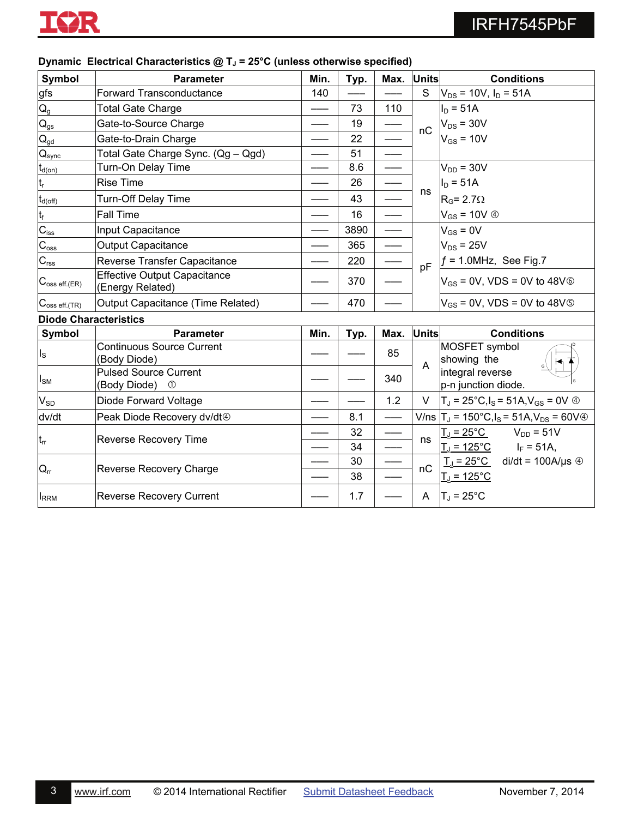

| Symbol                       | <b>Parameter</b>                                           | Min. | Typ. | Max. Units |              | <b>Conditions</b>                                               |
|------------------------------|------------------------------------------------------------|------|------|------------|--------------|-----------------------------------------------------------------|
| <u>gfs</u>                   | <b>Forward Transconductance</b>                            | 140  |      |            | S.           | $V_{DS}$ = 10V, $I_D$ = 51A                                     |
| $Q_{g}$                      | <b>Total Gate Charge</b>                                   |      | 73   | 110        |              | $I_D = 51A$                                                     |
| $Q_{\underline{\text{gs}}}$  | Gate-to-Source Charge                                      |      | 19   |            | nC           | $V_{DS}$ = 30V                                                  |
| $\mathsf{Q}_{\text{gd}}$     | Gate-to-Drain Charge                                       |      | 22   |            |              | $V_{GS}$ = 10V                                                  |
| $\mathsf{Q}_{\mathsf{sync}}$ | Total Gate Charge Sync. (Qg - Qgd)                         |      | 51   |            |              |                                                                 |
| $t_{d(on)}$                  | Turn-On Delay Time                                         |      | 8.6  |            |              | $V_{DD}$ = 30V                                                  |
| $t_r$                        | <b>Rise Time</b>                                           |      | 26   |            |              | $I_D = 51A$                                                     |
| $t_{d(\rm off)}$             | <b>Turn-Off Delay Time</b>                                 |      | 43   |            | ns           | $RG = 2.7\Omega$                                                |
| $t_f$                        | Fall Time                                                  |      | 16   |            |              | $V_{GS}$ = 10V $\circledA$                                      |
| $C_{\text{iss}}$             | Input Capacitance                                          |      | 3890 |            |              | $V_{GS} = 0V$                                                   |
| $\overline{C_{\text{oss}}}$  | <b>Output Capacitance</b>                                  |      | 365  |            |              | $V_{DS}$ = 25V                                                  |
| $C_{\underline{rss}}$        | Reverse Transfer Capacitance                               |      | 220  |            | pF           | $f = 1.0$ MHz, See Fig.7                                        |
| $C_{\text{oss eff.}(ER)}$    | <b>Effective Output Capacitance</b><br>(Energy Related)    |      | 370  |            |              | $V_{GS}$ = 0V, VDS = 0V to 48V $\circledcirc$                   |
| $C_{\text{oss eff.}(TR)}$    | Output Capacitance (Time Related)                          |      | 470  |            |              | $V_{GS}$ = 0V, VDS = 0V to 48V <sup>©</sup>                     |
| <b>Diode Characteristics</b> |                                                            |      |      |            |              |                                                                 |
| Symbol                       | <b>Parameter</b>                                           | Min. | Typ. | Max.       | <b>Units</b> | <b>Conditions</b>                                               |
| $I_{\rm S}$                  | <b>Continuous Source Current</b><br>(Body Diode)           |      |      | 85         | A            | MOSFET symbol<br>showing the                                    |
| $I_{\text{SM}}$              | <b>Pulsed Source Current</b><br>(Body Diode)<br>$^{\circ}$ |      |      | 340        |              | integral reverse<br>p-n junction diode.                         |
| $V_{SD}$                     | Diode Forward Voltage                                      |      |      | 1.2        | V.           | $T_J = 25^{\circ}C, I_S = 51A, V_{GS} = 0V$ 4                   |
| dv/dt                        | Peak Diode Recovery dv/dt <sup>@</sup>                     |      | 8.1  |            |              | V/ns $ T_{J} = 150^{\circ}C$ , $I_{S} = 51A$ , $V_{DS} = 60V$ @ |
|                              |                                                            |      | 32   |            |              | $T_J = 25^{\circ}C$ $V_{DD} = 51V$                              |
| $t_{rr}$                     | Reverse Recovery Time                                      |      | 34   |            | ns           | <u>T」= 125°C</u><br>$I_F = 51A,$                                |
|                              |                                                            |      | 30   |            |              | $T_{\text{J}} = 25^{\circ}$ C di/dt = 100A/µs $\circledcirc$    |
| $Q_{rr}$                     | Reverse Recovery Charge                                    |      | 38   |            | nC           | $T_{J}$ = 125 $^{\circ}$ C                                      |
| $I_{RRM}$                    | <b>Reverse Recovery Current</b>                            |      | 1.7  |            | A            | $T_J = 25^{\circ}C$                                             |

#### **Dynamic Electrical Characteristics @ T<sub>J</sub> = 25°C (unless otherwise specified)**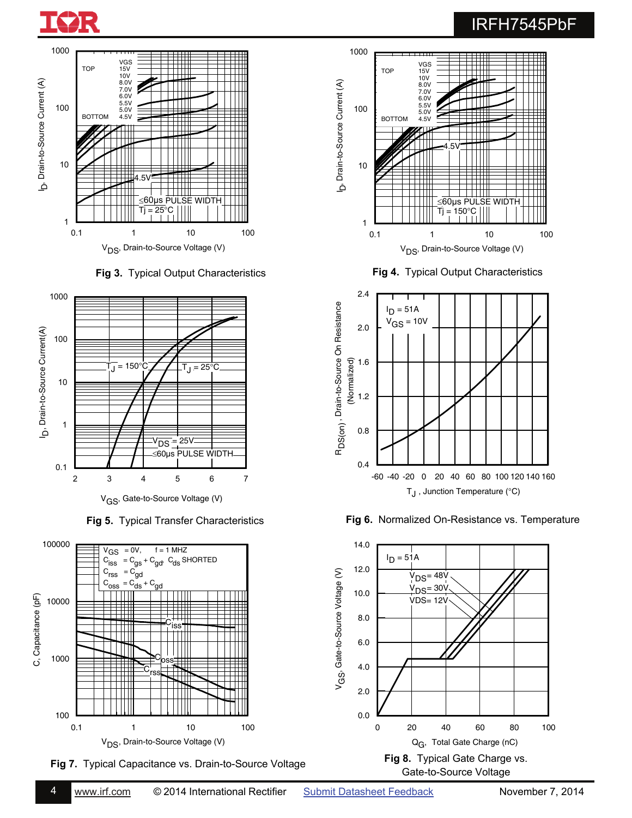







**Fig 7.** Typical Capacitance vs. Drain-to-Source Voltage







**Fig 5.** Typical Transfer Characteristics **Fig 6.** Normalized On-Resistance vs. Temperature

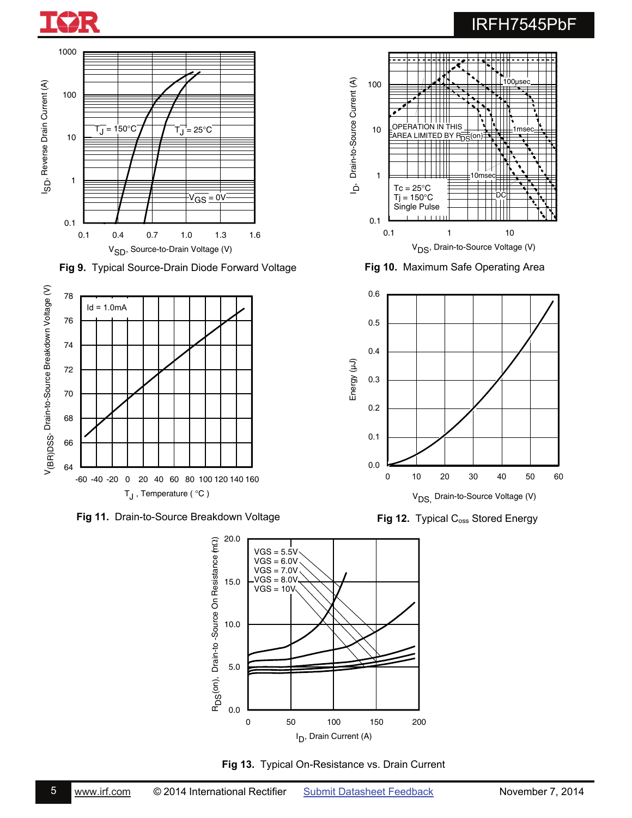



**Fig 9.** Typical Source-Drain Diode Forward Voltage



**Fig 11.** Drain-to-Source Breakdown Voltage



**Fig 13.** Typical On-Resistance vs. Drain Current



**Fig 10.** Maximum Safe Operating Area



Fig 12. Typical C<sub>oss</sub> Stored Energy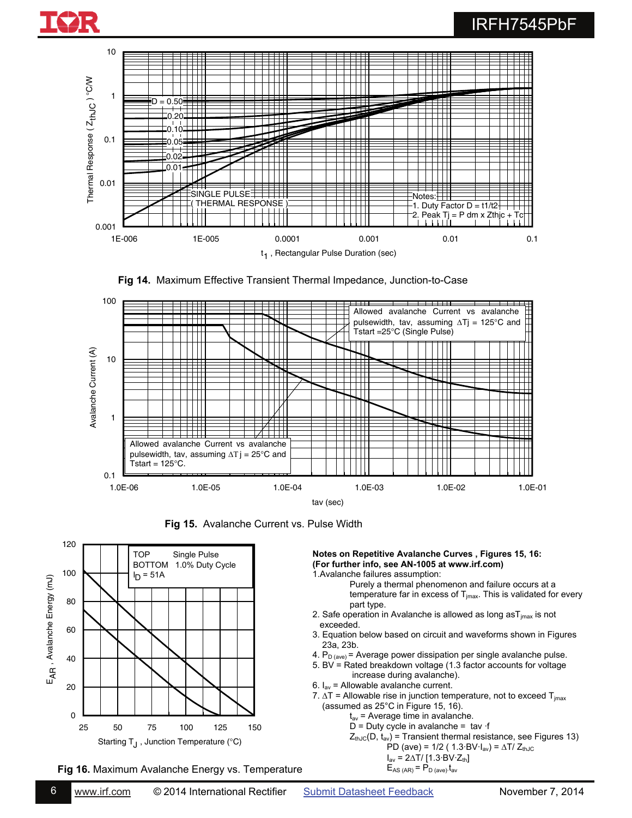









**Fig 16.** Maximum Avalanche Energy vs. Temperature

6 [www.irf.com](http://www.irf.com/) © 2014 International Rectifier [Submit Datasheet Feedback](http://ec.irf.com/v6/en/US/adirect/ir?cmd=LogDatasheetFeedback&sku=IRFH7545PbF&date=20141107) November 7, 2014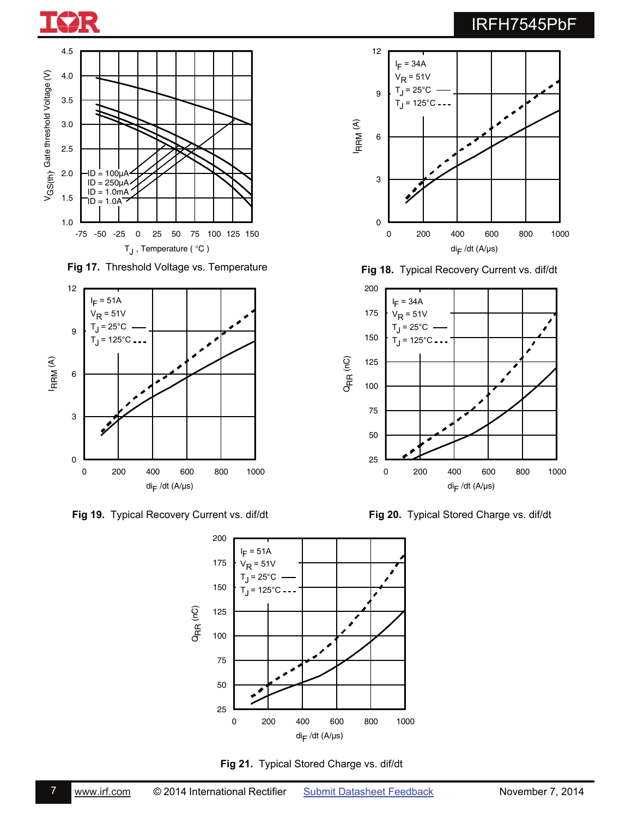



**Fig 17.** Threshold Voltage vs. Temperature



**Fig 19.** Typical Recovery Current vs. dif/dt **Fig 20.** Typical Stored Charge vs. dif/dt





**Fig 18.** Typical Recovery Current vs. dif/dt

0

3

6

I R R M (A)

9

12

l<sub>F</sub> = 34A  $V_R = 51V$  $T_J = 25^{\circ}C$  $T_J = 125^{\circ}C -$ 

Ÿ

0 200 400 600 800 1000  $di_{\mathsf{F}}$  /dt (A/µs)



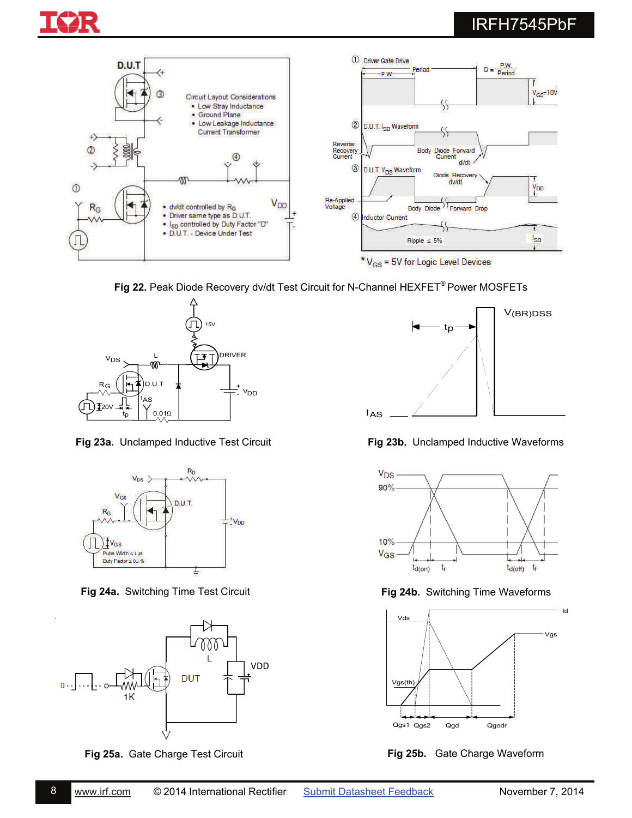



**Fig 22.** Peak Diode Recovery dv/dt Test Circuit for N-Channel HEXFET® Power MOSFETs



**Fig 23a.** Unclamped Inductive Test Circuit



**Fig 24a.** Switching Time Test Circuit



**Fig 25a.** Gate Charge Test Circuit



**Fig 23b.** Unclamped Inductive Waveforms



**Fig 24b.** Switching Time Waveforms



**Fig 25b.** Gate Charge Waveform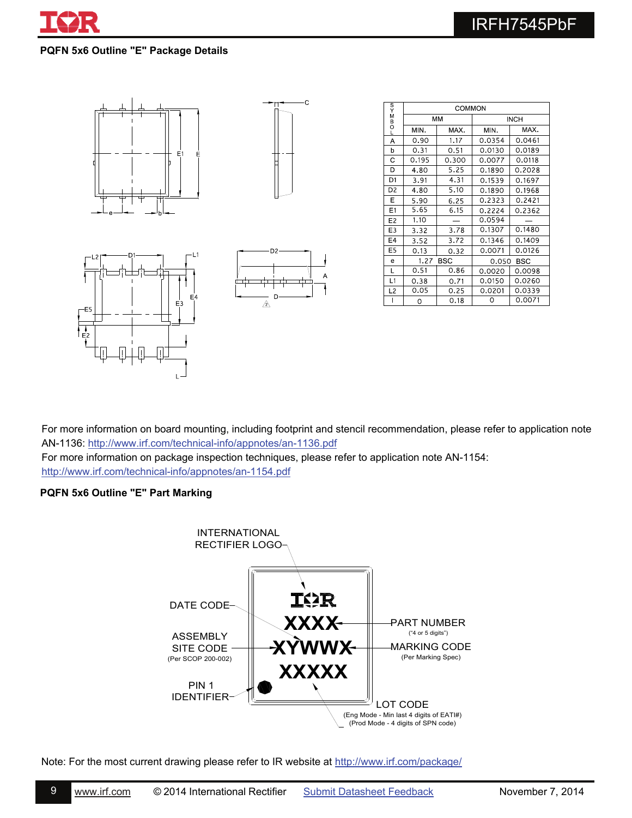

### **PQFN 5x6 Outline "E" Package Details**









| $\frac{S}{Y}$  | COMMON             |       |             |        |  |
|----------------|--------------------|-------|-------------|--------|--|
| M<br>B<br>O    | MM                 |       | <b>INCH</b> |        |  |
|                | MN.                | MAX.  | MIN.        | MAX.   |  |
| Α              | 0.90               | 1.17  | 0.0354      | 0.0461 |  |
| þ              | 0.31               | 0.51  | 0.0130      | 0.0189 |  |
| С              | 0.195              | 0.300 | 0.0077      | 0.0118 |  |
| D              | 4.80               | 5.25  | 0.1890      | 0.2028 |  |
| D1             | 3.91               | 4.31  | 0.1539      | 0.1697 |  |
| D2             | 4.80               | 5.10  | 0.1890      | 0.1968 |  |
| Ε              | 5.90               | 6.25  | 0.2323      | 0.2421 |  |
| E1             | 5.65               | 6.15  | 0.2224      | 0.2362 |  |
| E <sub>2</sub> | 1.10               |       | 0.0594      |        |  |
| E <sub>3</sub> | 3.32               | 3.78  | 0.1307      | 0.1480 |  |
| E <sub>4</sub> | 3.52               | 3.72  | 0.1346      | 0.1409 |  |
| E5             | 0.13               | 0.32  | 0.0071      | 0.0126 |  |
| e              | 1.27<br><b>BSC</b> |       | 0.050       | BSC    |  |
| L              | 0.51               | 0.86  | 0.0020      | 0.0098 |  |
| L1             | 0.38               | 0.71  | 0.0150      | 0.0260 |  |
| L2             | 0.05               | 0.25  | 0.0201      | 0.0339 |  |
|                | Ω                  | 0.18  | Ω           | 0.0071 |  |

For more information on board mounting, including footprint and stencil recommendation, please refer to application note AN-1136: <http://www.irf.com/technical-info/appnotes/an-1136.pdf>

For more information on package inspection techniques, please refer to application note AN-1154: <http://www.irf.com/technical-info/appnotes/an-1154.pdf>

### **PQFN 5x6 Outline "E" Part Marking**



Note: For the most current drawing please refer to IR website at <http://www.irf.com/package/>